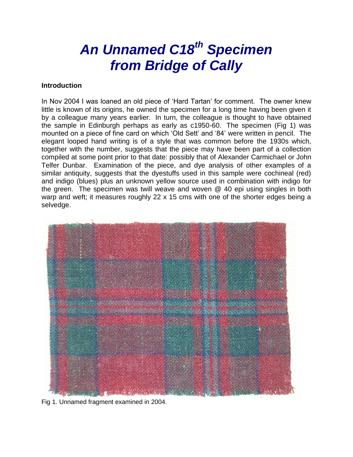# *An Unnamed C18th Specimen from Bridge of Cally*

#### **Introduction**

In Nov 2004 I was loaned an old piece of 'Hard Tartan' for comment. The owner knew little is known of its origins, he owned the specimen for a long time having been given it by a colleague many years earlier. In turn, the colleague is thought to have obtained the sample in Edinburgh perhaps as early as c1950-60. The specimen (Fig 1) was mounted on a piece of fine card on which 'Old Sett' and '84' were written in pencil. The elegant looped hand writing is of a style that was common before the 1930s which, together with the number, suggests that the piece may have been part of a collection compiled at some point prior to that date: possibly that of Alexander Carmichael or John Telfer Dunbar. Examination of the piece, and dye analysis of other examples of a similar antiquity, suggests that the dyestuffs used in this sample were cochineal (red) and indigo (blues) plus an unknown yellow source used in combination with indigo for the green. The specimen was twill weave and woven @ 40 epi using singles in both warp and weft; it measures roughly 22 x 15 cms with one of the shorter edges being a selvedge.



Fig 1. Unnamed fragment examined in 2004.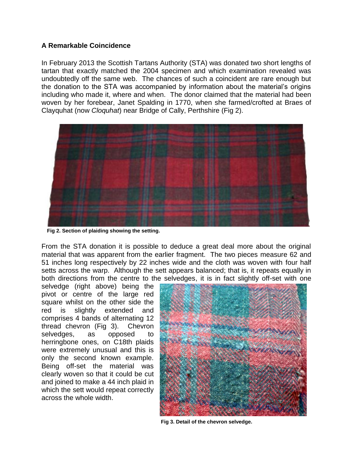### **A Remarkable Coincidence**

In February 2013 the Scottish Tartans Authority (STA) was donated two short lengths of tartan that exactly matched the 2004 specimen and which examination revealed was undoubtedly off the same web. The chances of such a coincident are rare enough but the donation to the STA was accompanied by information about the material's origins including who made it, where and when. The donor claimed that the material had been woven by her forebear, Janet Spalding in 1770, when she farmed/crofted at Braes of Clayquhat (now *Cloquhat*) near Bridge of Cally, Perthshire (Fig 2).



**Fig 2. Section of plaiding showing the setting.** 

From the STA donation it is possible to deduce a great deal more about the original material that was apparent from the earlier fragment. The two pieces measure 62 and 51 inches long respectively by 22 inches wide and the cloth was woven with four half setts across the warp. Although the sett appears balanced; that is, it repeats equally in both directions from the centre to the selvedges, it is in fact slightly off-set with one

selvedge (right above) being the pivot or centre of the large red square whilst on the other side the red is slightly extended and comprises 4 bands of alternating 12 thread chevron (Fig 3). Chevron selvedges, as opposed to herringbone ones, on C18th plaids were extremely unusual and this is only the second known example. Being off-set the material was clearly woven so that it could be cut and joined to make a 44 inch plaid in which the sett would repeat correctly across the whole width.



**Fig 3. Detail of the chevron selvedge.**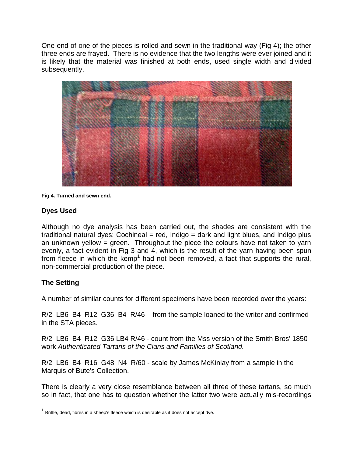One end of one of the pieces is rolled and sewn in the traditional way (Fig 4); the other three ends are frayed. There is no evidence that the two lengths were ever joined and it is likely that the material was finished at both ends, used single width and divided subsequently.



**Fig 4. Turned and sewn end.** 

#### **Dyes Used**

Although no dye analysis has been carried out, the shades are consistent with the traditional natural dyes: Cochineal = red, Indigo = dark and light blues, and Indigo plus an unknown yellow = green. Throughout the piece the colours have not taken to yarn evenly, a fact evident in Fig 3 and 4, which is the result of the yarn having been spun from fleece in which the kemp<sup>1</sup> had not been removed, a fact that supports the rural, non-commercial production of the piece.

#### **The Setting**

A number of similar counts for different specimens have been recorded over the years:

R/2 LB6 B4 R12 G36 B4 R/46 – from the sample loaned to the writer and confirmed in the STA pieces.

R/2 LB6 B4 R12 G36 LB4 R/46 - count from the Mss version of the Smith Bros' 1850 work *Authenticated Tartans of the Clans and Families of Scotland.*

R/2 LB6 B4 R16 G48 N4 R/60 - scale by James McKinlay from a sample in the Marquis of Bute's Collection.

There is clearly a very close resemblance between all three of these tartans, so much so in fact, that one has to question whether the latter two were actually mis-recordings

 $1$  Brittle, dead, fibres in a sheep's fleece which is desirable as it does not accept dye.